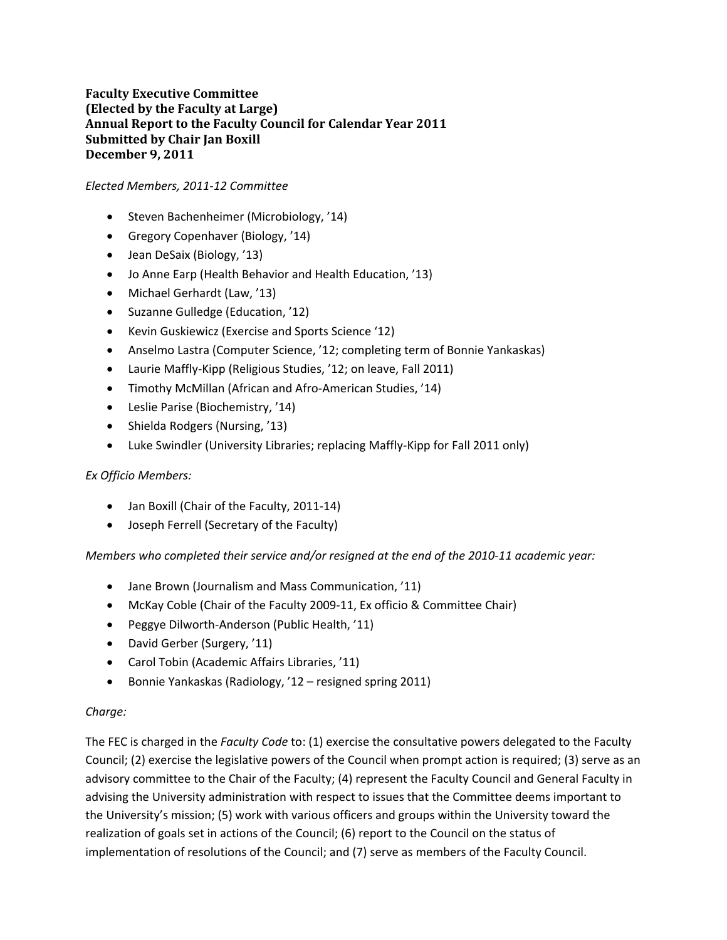# **Faculty Executive Committee (Elected by the Faculty at Large) Annual Report to the Faculty Council for Calendar Year 2011 Submitted by Chair Jan Boxill December 9, 2011**

#### *Elected Members, 2011‐12 Committee*

- Steven Bachenheimer (Microbiology, '14)
- Gregory Copenhaver (Biology, '14)
- Jean DeSaix (Biology, '13)
- Jo Anne Earp (Health Behavior and Health Education, '13)
- Michael Gerhardt (Law, '13)
- Suzanne Gulledge (Education, '12)
- Kevin Guskiewicz (Exercise and Sports Science '12)
- Anselmo Lastra (Computer Science, '12; completing term of Bonnie Yankaskas)
- Laurie Maffly‐Kipp (Religious Studies, '12; on leave, Fall 2011)
- Timothy McMillan (African and Afro‐American Studies, '14)
- Leslie Parise (Biochemistry, '14)
- Shielda Rodgers (Nursing, '13)
- Luke Swindler (University Libraries; replacing Maffly‐Kipp for Fall 2011 only)

#### *Ex Officio Members:*

- Jan Boxill (Chair of the Faculty, 2011‐14)
- Joseph Ferrell (Secretary of the Faculty)

*Members who completed their service and/or resigned at the end of the 2010‐11 academic year:*

- Jane Brown (Journalism and Mass Communication, '11)
- McKay Coble (Chair of the Faculty 2009-11, Ex officio & Committee Chair)
- Peggye Dilworth-Anderson (Public Health, '11)
- David Gerber (Surgery, '11)
- Carol Tobin (Academic Affairs Libraries, '11)
- Bonnie Yankaskas (Radiology, '12 resigned spring 2011)

#### *Charge:*

The FEC is charged in the *Faculty Code* to: (1) exercise the consultative powers delegated to the Faculty Council; (2) exercise the legislative powers of the Council when prompt action is required; (3) serve as an advisory committee to the Chair of the Faculty; (4) represent the Faculty Council and General Faculty in advising the University administration with respect to issues that the Committee deems important to the University's mission; (5) work with various officers and groups within the University toward the realization of goals set in actions of the Council; (6) report to the Council on the status of implementation of resolutions of the Council; and (7) serve as members of the Faculty Council.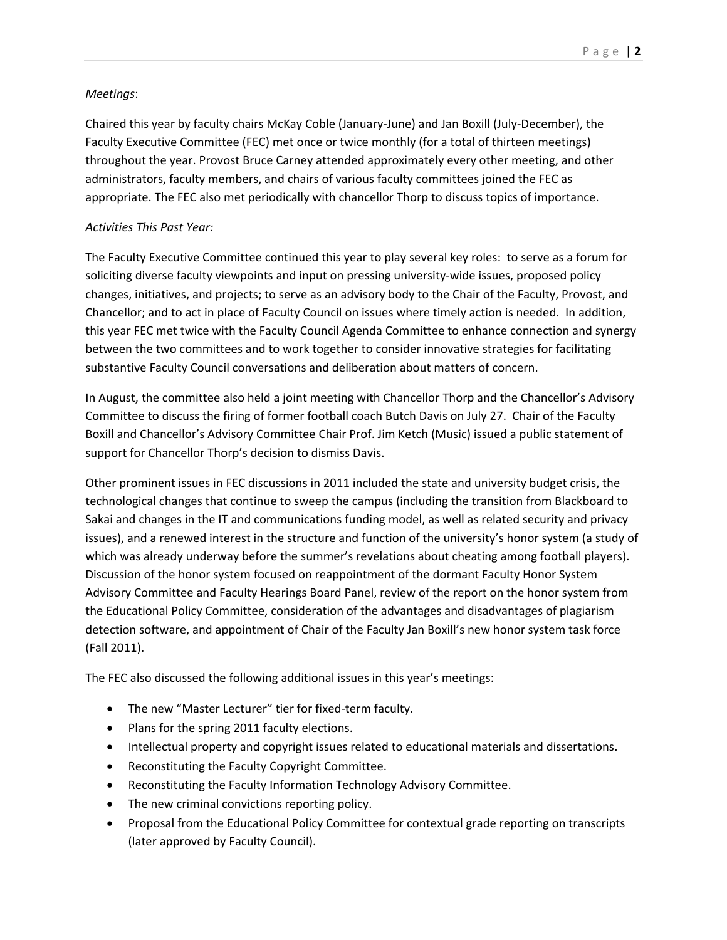## *Meetings*:

Chaired this year by faculty chairs McKay Coble (January‐June) and Jan Boxill (July‐December), the Faculty Executive Committee (FEC) met once or twice monthly (for a total of thirteen meetings) throughout the year. Provost Bruce Carney attended approximately every other meeting, and other administrators, faculty members, and chairs of various faculty committees joined the FEC as appropriate. The FEC also met periodically with chancellor Thorp to discuss topics of importance.

## *Activities This Past Year:*

The Faculty Executive Committee continued this year to play several key roles: to serve as a forum for soliciting diverse faculty viewpoints and input on pressing university-wide issues, proposed policy changes, initiatives, and projects; to serve as an advisory body to the Chair of the Faculty, Provost, and Chancellor; and to act in place of Faculty Council on issues where timely action is needed. In addition, this year FEC met twice with the Faculty Council Agenda Committee to enhance connection and synergy between the two committees and to work together to consider innovative strategies for facilitating substantive Faculty Council conversations and deliberation about matters of concern.

In August, the committee also held a joint meeting with Chancellor Thorp and the Chancellor's Advisory Committee to discuss the firing of former football coach Butch Davis on July 27. Chair of the Faculty Boxill and Chancellor's Advisory Committee Chair Prof. Jim Ketch (Music) issued a public statement of support for Chancellor Thorp's decision to dismiss Davis.

Other prominent issues in FEC discussions in 2011 included the state and university budget crisis, the technological changes that continue to sweep the campus (including the transition from Blackboard to Sakai and changes in the IT and communications funding model, as well as related security and privacy issues), and a renewed interest in the structure and function of the university's honor system (a study of which was already underway before the summer's revelations about cheating among football players). Discussion of the honor system focused on reappointment of the dormant Faculty Honor System Advisory Committee and Faculty Hearings Board Panel, review of the report on the honor system from the Educational Policy Committee, consideration of the advantages and disadvantages of plagiarism detection software, and appointment of Chair of the Faculty Jan Boxill's new honor system task force (Fall 2011).

The FEC also discussed the following additional issues in this year's meetings:

- The new "Master Lecturer" tier for fixed-term faculty.
- Plans for the spring 2011 faculty elections.
- Intellectual property and copyright issues related to educational materials and dissertations.
- Reconstituting the Faculty Copyright Committee.
- Reconstituting the Faculty Information Technology Advisory Committee.
- The new criminal convictions reporting policy.
- Proposal from the Educational Policy Committee for contextual grade reporting on transcripts (later approved by Faculty Council).